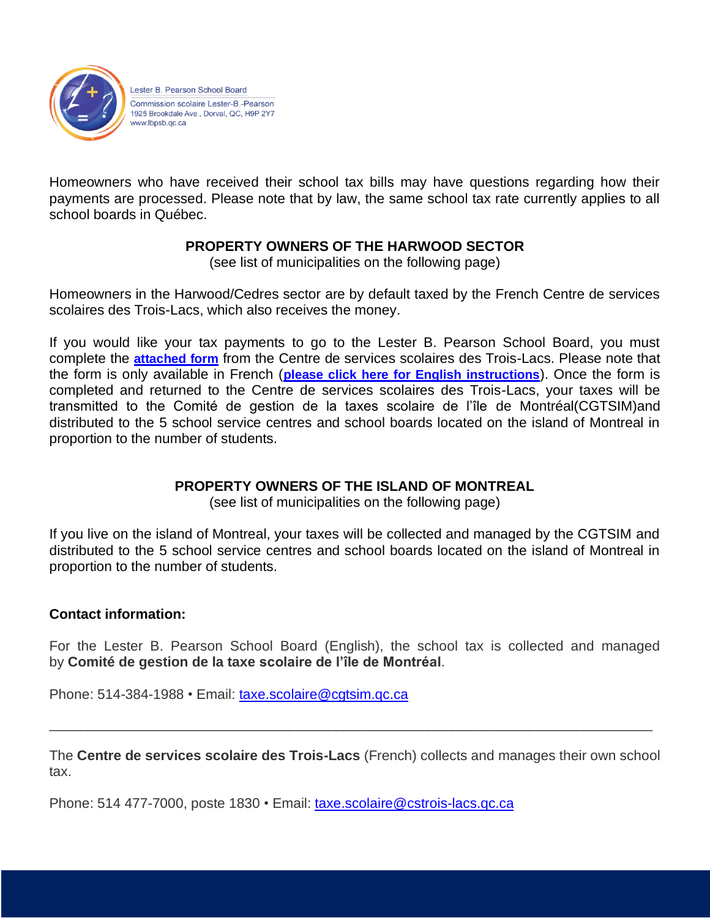

Lester B. Pearson School Board Commission scolaire Lester-B.-Pearson 1925 Brookdale Ave., Dorval, QC, H9P 2Y7 www.lbpsb.gc.ca

Homeowners who have received their school tax bills may have questions regarding how their payments are processed. Please note that by law, the same school tax rate currently applies to all school boards in Québec.

## **PROPERTY OWNERS OF THE HARWOOD SECTOR**

(see list of municipalities on the following page)

Homeowners in the Harwood/Cedres sector are by default taxed by the French Centre de services scolaires des Trois-Lacs, which also receives the money.

If you would like your tax payments to go to the Lester B. Pearson School Board, you must complete the **[attached form](https://www.lbpsb.qc.ca/wp-content/uploads/Tax-Formulaire-CSS-des-Trois-Lacs.pdf)** from the Centre de services scolaires des Trois-Lacs. Please note that the form is only available in French (**[please click here for English instructions](https://www.lbpsb.qc.ca/wp-content/uploads/Tax-Roll-Registration-Change-Instructions.pdf)**). Once the form is completed and returned to the Centre de services scolaires des Trois-Lacs, your taxes will be transmitted to the Comité de gestion de la taxes scolaire de l'île de Montréal(CGTSIM)and distributed to the 5 school service centres and school boards located on the island of Montreal in proportion to the number of students.

# **PROPERTY OWNERS OF THE ISLAND OF MONTREAL**

(see list of municipalities on the following page)

If you live on the island of Montreal, your taxes will be collected and managed by the CGTSIM and distributed to the 5 school service centres and school boards located on the island of Montreal in proportion to the number of students.

## **Contact information:**

For the Lester B. Pearson School Board (English), the school tax is collected and managed by **Comité de gestion de la taxe scolaire de l'île de Montréal**.

Phone: 514-384-1988 • Email: [taxe.scolaire@cgtsim.qc.ca](mailto:taxe.scolaire@cgtsim.qc.ca)

The **Centre de services scolaire des Trois-Lacs** (French) collects and manages their own school tax.

\_\_\_\_\_\_\_\_\_\_\_\_\_\_\_\_\_\_\_\_\_\_\_\_\_\_\_\_\_\_\_\_\_\_\_\_\_\_\_\_\_\_\_\_\_\_\_\_\_\_\_\_\_\_\_\_\_\_\_\_\_\_\_\_\_\_\_\_\_\_\_\_\_\_\_\_\_\_

Phone: 514 477-7000, poste 1830 • Email: [taxe.scolaire@cstrois-lacs.qc.ca](mailto:taxe.scolaire@cstrois-lacs.qc.ca)